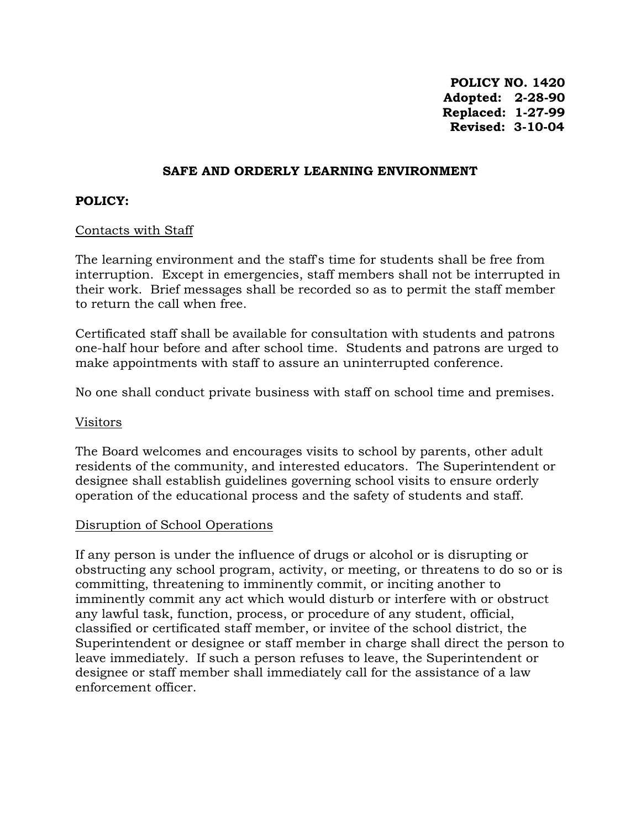**POLICY NO. 1420 Adopted: 2-28-90 Replaced: 1-27-99 Revised: 3-10-04**

#### **SAFE AND ORDERLY LEARNING ENVIRONMENT**

## **POLICY:**

## Contacts with Staff

The learning environment and the staff's time for students shall be free from interruption. Except in emergencies, staff members shall not be interrupted in their work. Brief messages shall be recorded so as to permit the staff member to return the call when free.

Certificated staff shall be available for consultation with students and patrons one-half hour before and after school time. Students and patrons are urged to make appointments with staff to assure an uninterrupted conference.

No one shall conduct private business with staff on school time and premises.

#### Visitors

The Board welcomes and encourages visits to school by parents, other adult residents of the community, and interested educators. The Superintendent or designee shall establish guidelines governing school visits to ensure orderly operation of the educational process and the safety of students and staff.

#### Disruption of School Operations

If any person is under the influence of drugs or alcohol or is disrupting or obstructing any school program, activity, or meeting, or threatens to do so or is committing, threatening to imminently commit, or inciting another to imminently commit any act which would disturb or interfere with or obstruct any lawful task, function, process, or procedure of any student, official, classified or certificated staff member, or invitee of the school district, the Superintendent or designee or staff member in charge shall direct the person to leave immediately. If such a person refuses to leave, the Superintendent or designee or staff member shall immediately call for the assistance of a law enforcement officer.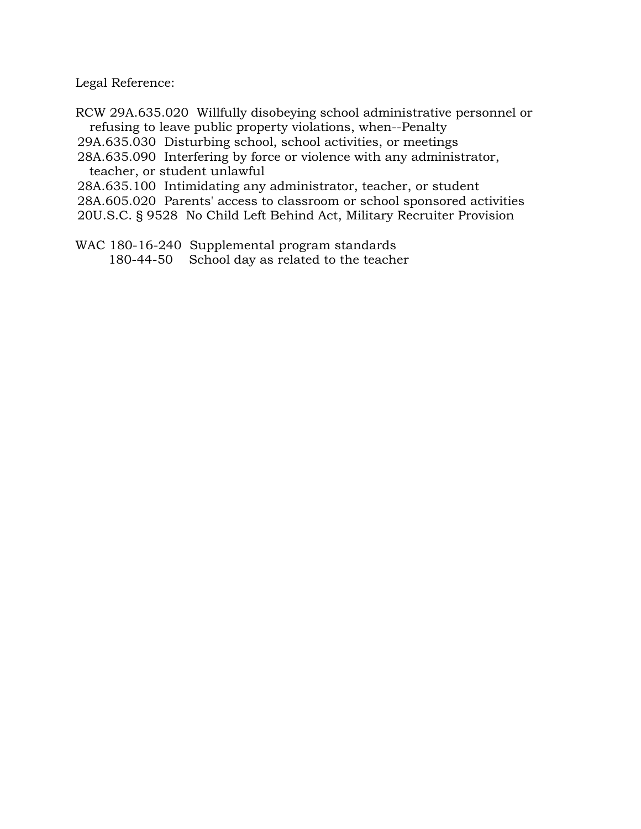Legal Reference:

RCW 29A.635.020 Willfully disobeying school administrative personnel or refusing to leave public property violations, when--Penalty

29A.635.030 Disturbing school, school activities, or meetings

 28A.635.090 Interfering by force or violence with any administrator, teacher, or student unlawful

28A.635.100 Intimidating any administrator, teacher, or student

28A.605.020 Parents' access to classroom or school sponsored activities

20U.S.C. § 9528 No Child Left Behind Act, Military Recruiter Provision

WAC 180-16-240 Supplemental program standards

180-44-50 School day as related to the teacher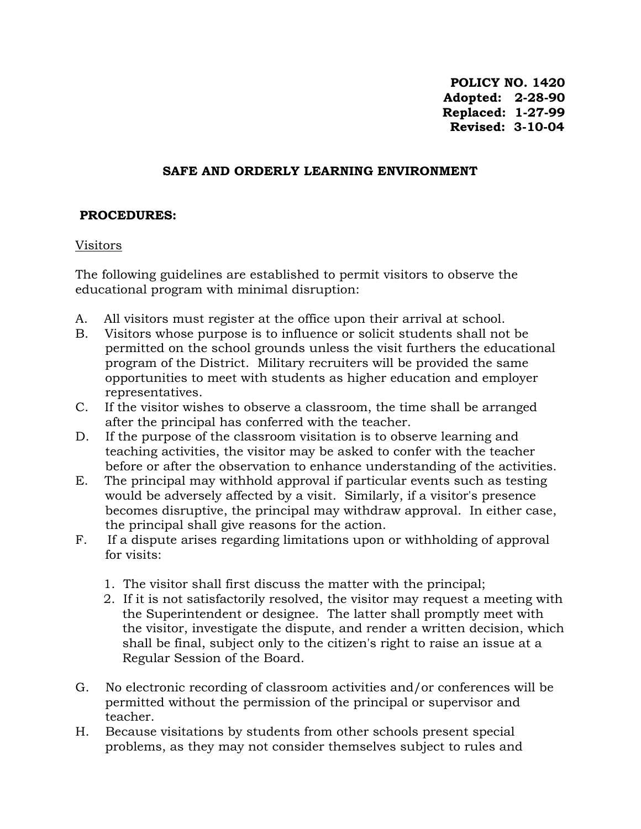**POLICY NO. 1420 Adopted: 2-28-90 Replaced: 1-27-99 Revised: 3-10-04**

## **SAFE AND ORDERLY LEARNING ENVIRONMENT**

## **PROCEDURES:**

## Visitors

The following guidelines are established to permit visitors to observe the educational program with minimal disruption:

- A. All visitors must register at the office upon their arrival at school.
- B. Visitors whose purpose is to influence or solicit students shall not be permitted on the school grounds unless the visit furthers the educational program of the District. Military recruiters will be provided the same opportunities to meet with students as higher education and employer representatives.
- C. If the visitor wishes to observe a classroom, the time shall be arranged after the principal has conferred with the teacher.
- D. If the purpose of the classroom visitation is to observe learning and teaching activities, the visitor may be asked to confer with the teacher before or after the observation to enhance understanding of the activities.
- E. The principal may withhold approval if particular events such as testing would be adversely affected by a visit. Similarly, if a visitor's presence becomes disruptive, the principal may withdraw approval. In either case, the principal shall give reasons for the action.
- F. If a dispute arises regarding limitations upon or withholding of approval for visits:
	- 1. The visitor shall first discuss the matter with the principal;
	- 2. If it is not satisfactorily resolved, the visitor may request a meeting with the Superintendent or designee. The latter shall promptly meet with the visitor, investigate the dispute, and render a written decision, which shall be final, subject only to the citizen's right to raise an issue at a Regular Session of the Board.
- G. No electronic recording of classroom activities and/or conferences will be permitted without the permission of the principal or supervisor and teacher.
- H. Because visitations by students from other schools present special problems, as they may not consider themselves subject to rules and